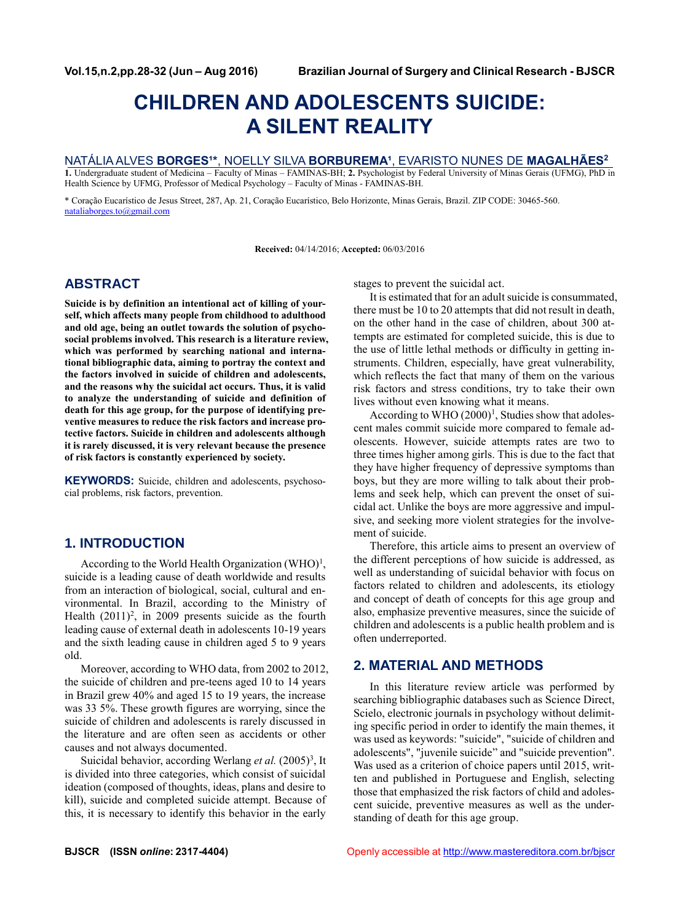# **CHILDREN AND ADOLESCENTS SUICIDE: A SILENT REALITY**

## NATÁLIA ALVES **BORGES¹\***, NOELLY SILVA **BORBUREMA¹**, EVARISTO NUNES DE **MAGALHÃES<sup>2</sup>**

**1.** Undergraduate student of Medicina – Faculty of Minas – FAMINAS-BH; **2.** Psychologist by Federal University of Minas Gerais (UFMG), PhD in Health Science by UFMG, Professor of Medical Psychology – Faculty of Minas - FAMINAS-BH.

\* Coração Eucarístico de Jesus Street, 287, Ap. 21, Coração Eucarístico, Belo Horizonte, Minas Gerais, Brazil. ZIP CODE: 30465-560. [nataliaborges.to@gmail.com](mailto:nataliaborges.to@gmail.com)

**Received:** 04/14/2016; **Accepted:** 06/03/2016

# **ABSTRACT**

**Suicide is by definition an intentional act of killing of yourself, which affects many people from childhood to adulthood and old age, being an outlet towards the solution of psychosocial problems involved. This research is a literature review, which was performed by searching national and international bibliographic data, aiming to portray the context and the factors involved in suicide of children and adolescents, and the reasons why the suicidal act occurs. Thus, it is valid to analyze the understanding of suicide and definition of death for this age group, for the purpose of identifying preventive measures to reduce the risk factors and increase protective factors. Suicide in children and adolescents although it is rarely discussed, it is very relevant because the presence of risk factors is constantly experienced by society.**

**KEYWORDS:** Suicide, children and adolescents, psychosocial problems, risk factors, prevention.

# **1. INTRODUCTION**

According to the World Health Organization (WHO)<sup>1</sup>, suicide is a leading cause of death worldwide and results from an interaction of biological, social, cultural and environmental. In Brazil, according to the Ministry of Health  $(2011)^2$ , in 2009 presents suicide as the fourth leading cause of external death in adolescents 10-19 years and the sixth leading cause in children aged 5 to 9 years old.

Moreover, according to WHO data, from 2002 to 2012, the suicide of children and pre-teens aged 10 to 14 years in Brazil grew 40% and aged 15 to 19 years, the increase was 33 5%. These growth figures are worrying, since the suicide of children and adolescents is rarely discussed in the literature and are often seen as accidents or other causes and not always documented.

Suicidal behavior, according Werlang et al. (2005)<sup>3</sup>, It is divided into three categories, which consist of suicidal ideation (composed of thoughts, ideas, plans and desire to kill), suicide and completed suicide attempt. Because of this, it is necessary to identify this behavior in the early

stages to prevent the suicidal act.

It is estimated that for an adult suicide is consummated, there must be 10 to 20 attempts that did not result in death, on the other hand in the case of children, about 300 attempts are estimated for completed suicide, this is due to the use of little lethal methods or difficulty in getting instruments. Children, especially, have great vulnerability, which reflects the fact that many of them on the various risk factors and stress conditions, try to take their own lives without even knowing what it means.

According to WHO (2000)<sup>1</sup>, Studies show that adolescent males commit suicide more compared to female adolescents. However, suicide attempts rates are two to three times higher among girls. This is due to the fact that they have higher frequency of depressive symptoms than boys, but they are more willing to talk about their problems and seek help, which can prevent the onset of suicidal act. Unlike the boys are more aggressive and impulsive, and seeking more violent strategies for the involvement of suicide.

Therefore, this article aims to present an overview of the different perceptions of how suicide is addressed, as well as understanding of suicidal behavior with focus on factors related to children and adolescents, its etiology and concept of death of concepts for this age group and also, emphasize preventive measures, since the suicide of children and adolescents is a public health problem and is often underreported.

# **2. MATERIAL AND METHODS**

In this literature review article was performed by searching bibliographic databases such as Science Direct, Scielo, electronic journals in psychology without delimiting specific period in order to identify the main themes, it was used as keywords: "suicide", "suicide of children and adolescents", "juvenile suicide" and "suicide prevention". Was used as a criterion of choice papers until 2015, written and published in Portuguese and English, selecting those that emphasized the risk factors of child and adolescent suicide, preventive measures as well as the understanding of death for this age group.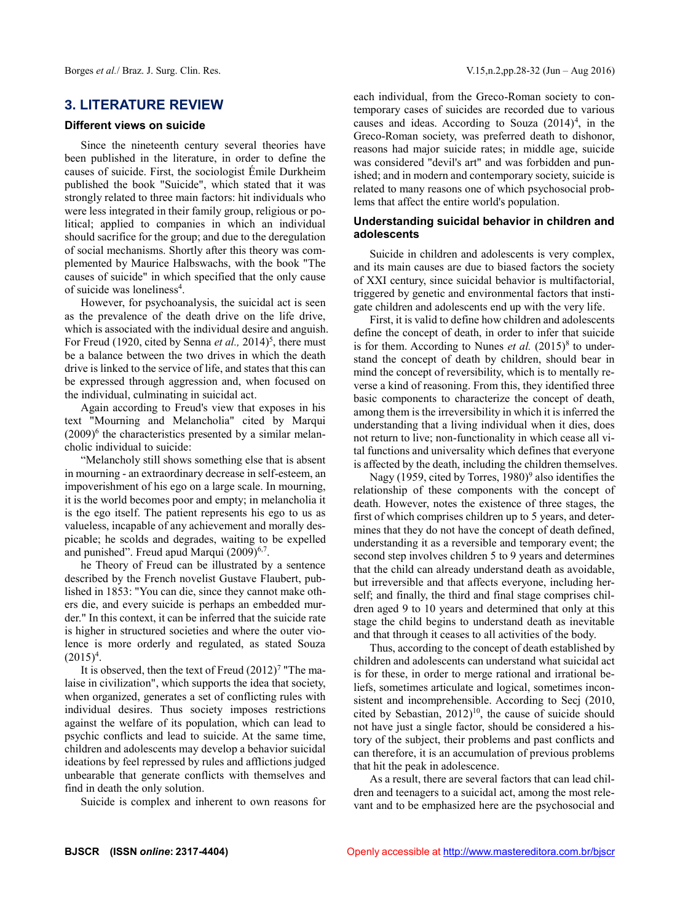## **3. LITERATURE REVIEW**

#### **Different views on suicide**

Since the nineteenth century several theories have been published in the literature, in order to define the causes of suicide. First, the sociologist Émile Durkheim published the book "Suicide", which stated that it was strongly related to three main factors: hit individuals who were less integrated in their family group, religious or political; applied to companies in which an individual should sacrifice for the group; and due to the deregulation of social mechanisms. Shortly after this theory was complemented by Maurice Halbswachs, with the book "The causes of suicide" in which specified that the only cause of suicide was loneliness<sup>4</sup>.

However, for psychoanalysis, the suicidal act is seen as the prevalence of the death drive on the life drive, which is associated with the individual desire and anguish. For Freud (1920, cited by Senna *et al.*, 2014)<sup>5</sup>, there must be a balance between the two drives in which the death drive is linked to the service of life, and states that this can be expressed through aggression and, when focused on the individual, culminating in suicidal act.

Again according to Freud's view that exposes in his text "Mourning and Melancholia" cited by Marqui  $(2009)^6$  the characteristics presented by a similar melancholic individual to suicide:

"Melancholy still shows something else that is absent in mourning - an extraordinary decrease in self-esteem, an impoverishment of his ego on a large scale. In mourning, it is the world becomes poor and empty; in melancholia it is the ego itself. The patient represents his ego to us as valueless, incapable of any achievement and morally despicable; he scolds and degrades, waiting to be expelled and punished". Freud apud Marqui (2009)<sup>6,7</sup>.

he Theory of Freud can be illustrated by a sentence described by the French novelist Gustave Flaubert, published in 1853: "You can die, since they cannot make others die, and every suicide is perhaps an embedded murder." In this context, it can be inferred that the suicide rate is higher in structured societies and where the outer violence is more orderly and regulated, as stated Souza  $(2015)^4$ .

It is observed, then the text of Freud  $(2012)^7$  "The malaise in civilization", which supports the idea that society, when organized, generates a set of conflicting rules with individual desires. Thus society imposes restrictions against the welfare of its population, which can lead to psychic conflicts and lead to suicide. At the same time, children and adolescents may develop a behavior suicidal ideations by feel repressed by rules and afflictions judged unbearable that generate conflicts with themselves and find in death the only solution.

Suicide is complex and inherent to own reasons for

each individual, from the Greco-Roman society to contemporary cases of suicides are recorded due to various causes and ideas. According to Souza  $(2014)^4$ , in the Greco-Roman society, was preferred death to dishonor, reasons had major suicide rates; in middle age, suicide was considered "devil's art" and was forbidden and punished; and in modern and contemporary society, suicide is related to many reasons one of which psychosocial problems that affect the entire world's population.

## **Understanding suicidal behavior in children and adolescents**

Suicide in children and adolescents is very complex, and its main causes are due to biased factors the society of XXI century, since suicidal behavior is multifactorial, triggered by genetic and environmental factors that instigate children and adolescents end up with the very life.

First, it is valid to define how children and adolescents define the concept of death, in order to infer that suicide is for them. According to Nunes *et al.*  $(2015)^{8}$  to understand the concept of death by children, should bear in mind the concept of reversibility, which is to mentally reverse a kind of reasoning. From this, they identified three basic components to characterize the concept of death, among them is the irreversibility in which it is inferred the understanding that a living individual when it dies, does not return to live; non-functionality in which cease all vital functions and universality which defines that everyone is affected by the death, including the children themselves.

Nagy (1959, cited by Torres,  $1980$ <sup>9</sup> also identifies the relationship of these components with the concept of death. However, notes the existence of three stages, the first of which comprises children up to 5 years, and determines that they do not have the concept of death defined, understanding it as a reversible and temporary event; the second step involves children 5 to 9 years and determines that the child can already understand death as avoidable, but irreversible and that affects everyone, including herself; and finally, the third and final stage comprises children aged 9 to 10 years and determined that only at this stage the child begins to understand death as inevitable and that through it ceases to all activities of the body.

Thus, according to the concept of death established by children and adolescents can understand what suicidal act is for these, in order to merge rational and irrational beliefs, sometimes articulate and logical, sometimes inconsistent and incomprehensible. According to Secj (2010, cited by Sebastian,  $2012)^{10}$ , the cause of suicide should not have just a single factor, should be considered a history of the subject, their problems and past conflicts and can therefore, it is an accumulation of previous problems that hit the peak in adolescence.

As a result, there are several factors that can lead children and teenagers to a suicidal act, among the most relevant and to be emphasized here are the psychosocial and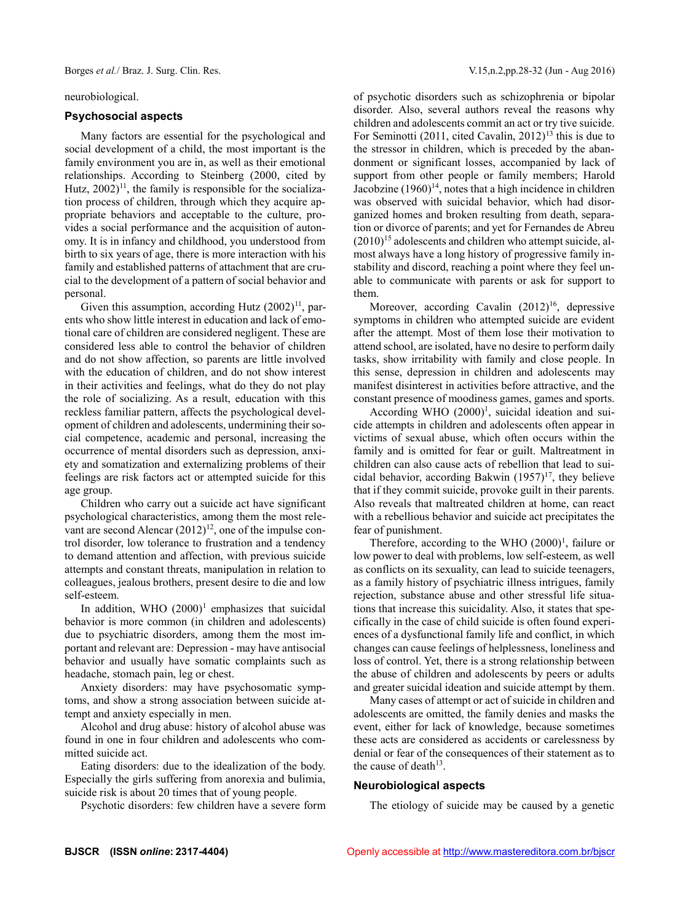Borges *et al.*/ Braz. J. Surg. Clin. Res. V.15,n.2,pp.28-32 (Jun - Aug 2016)

#### neurobiological.

#### **Psychosocial aspects**

Many factors are essential for the psychological and social development of a child, the most important is the family environment you are in, as well as their emotional relationships. According to Steinberg (2000, cited by Hutz,  $2002$ <sup>11</sup>, the family is responsible for the socialization process of children, through which they acquire appropriate behaviors and acceptable to the culture, provides a social performance and the acquisition of autonomy. It is in infancy and childhood, you understood from birth to six years of age, there is more interaction with his family and established patterns of attachment that are crucial to the development of a pattern of social behavior and personal.

Given this assumption, according Hutz  $(2002)^{11}$ , parents who show little interest in education and lack of emotional care of children are considered negligent. These are considered less able to control the behavior of children and do not show affection, so parents are little involved with the education of children, and do not show interest in their activities and feelings, what do they do not play the role of socializing. As a result, education with this reckless familiar pattern, affects the psychological development of children and adolescents, undermining their social competence, academic and personal, increasing the occurrence of mental disorders such as depression, anxiety and somatization and externalizing problems of their feelings are risk factors act or attempted suicide for this age group.

Children who carry out a suicide act have significant psychological characteristics, among them the most relevant are second Alencar  $(2012)^{12}$ , one of the impulse control disorder, low tolerance to frustration and a tendency to demand attention and affection, with previous suicide attempts and constant threats, manipulation in relation to colleagues, jealous brothers, present desire to die and low self-esteem.

In addition, WHO  $(2000)^1$  emphasizes that suicidal behavior is more common (in children and adolescents) due to psychiatric disorders, among them the most important and relevant are: Depression - may have antisocial behavior and usually have somatic complaints such as headache, stomach pain, leg or chest.

Anxiety disorders: may have psychosomatic symptoms, and show a strong association between suicide attempt and anxiety especially in men.

Alcohol and drug abuse: history of alcohol abuse was found in one in four children and adolescents who committed suicide act.

Eating disorders: due to the idealization of the body. Especially the girls suffering from anorexia and bulimia, suicide risk is about 20 times that of young people.

Psychotic disorders: few children have a severe form

of psychotic disorders such as schizophrenia or bipolar disorder. Also, several authors reveal the reasons why children and adolescents commit an act or try tive suicide. For Seminotti (2011, cited Cavalin, 2012)<sup>13</sup> this is due to the stressor in children, which is preceded by the abandonment or significant losses, accompanied by lack of support from other people or family members; Harold Jacobzine  $(1960)^{14}$ , notes that a high incidence in children was observed with suicidal behavior, which had disorganized homes and broken resulting from death, separation or divorce of parents; and yet for Fernandes de Abreu  $(2010)^{15}$  adolescents and children who attempt suicide, almost always have a long history of progressive family instability and discord, reaching a point where they feel unable to communicate with parents or ask for support to them.

Moreover, according Cavalin  $(2012)^{16}$ , depressive symptoms in children who attempted suicide are evident after the attempt. Most of them lose their motivation to attend school, are isolated, have no desire to perform daily tasks, show irritability with family and close people. In this sense, depression in children and adolescents may manifest disinterest in activities before attractive, and the constant presence of moodiness games, games and sports.

According WHO  $(2000)^1$ , suicidal ideation and suicide attempts in children and adolescents often appear in victims of sexual abuse, which often occurs within the family and is omitted for fear or guilt. Maltreatment in children can also cause acts of rebellion that lead to suicidal behavior, according Bakwin  $(1957)^{17}$ , they believe that if they commit suicide, provoke guilt in their parents. Also reveals that maltreated children at home, can react with a rebellious behavior and suicide act precipitates the fear of punishment.

Therefore, according to the WHO  $(2000)^1$ , failure or low power to deal with problems, low self-esteem, as well as conflicts on its sexuality, can lead to suicide teenagers, as a family history of psychiatric illness intrigues, family rejection, substance abuse and other stressful life situations that increase this suicidality. Also, it states that specifically in the case of child suicide is often found experiences of a dysfunctional family life and conflict, in which changes can cause feelings of helplessness, loneliness and loss of control. Yet, there is a strong relationship between the abuse of children and adolescents by peers or adults and greater suicidal ideation and suicide attempt by them.

Many cases of attempt or act of suicide in children and adolescents are omitted, the family denies and masks the event, either for lack of knowledge, because sometimes these acts are considered as accidents or carelessness by denial or fear of the consequences of their statement as to the cause of death<sup>13</sup>.

#### **Neurobiological aspects**

The etiology of suicide may be caused by a genetic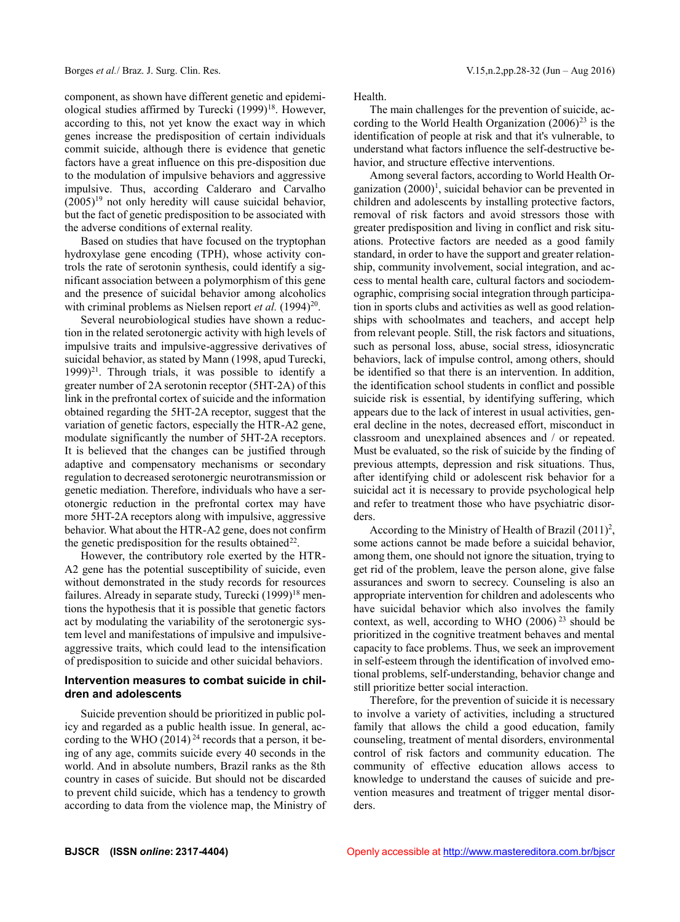component, as shown have different genetic and epidemiological studies affirmed by Turecki  $(1999)^{18}$ . However, according to this, not yet know the exact way in which genes increase the predisposition of certain individuals commit suicide, although there is evidence that genetic factors have a great influence on this pre-disposition due to the modulation of impulsive behaviors and aggressive impulsive. Thus, according Calderaro and Carvalho  $(2005)^{19}$  not only heredity will cause suicidal behavior, but the fact of genetic predisposition to be associated with the adverse conditions of external reality.

Based on studies that have focused on the tryptophan hydroxylase gene encoding (TPH), whose activity controls the rate of serotonin synthesis, could identify a significant association between a polymorphism of this gene and the presence of suicidal behavior among alcoholics with criminal problems as Nielsen report *et al.*  $(1994)^{20}$ .

Several neurobiological studies have shown a reduction in the related serotonergic activity with high levels of impulsive traits and impulsive-aggressive derivatives of suicidal behavior, as stated by Mann (1998, apud Turecki, 1999)<sup>21</sup>. Through trials, it was possible to identify a greater number of 2A serotonin receptor (5HT-2A) of this link in the prefrontal cortex of suicide and the information obtained regarding the 5HT-2A receptor, suggest that the variation of genetic factors, especially the HTR-A2 gene, modulate significantly the number of 5HT-2A receptors. It is believed that the changes can be justified through adaptive and compensatory mechanisms or secondary regulation to decreased serotonergic neurotransmission or genetic mediation. Therefore, individuals who have a serotonergic reduction in the prefrontal cortex may have more 5HT-2A receptors along with impulsive, aggressive behavior. What about the HTR-A2 gene, does not confirm the genetic predisposition for the results obtained<sup>22</sup>.

However, the contributory role exerted by the HTR-A2 gene has the potential susceptibility of suicide, even without demonstrated in the study records for resources failures. Already in separate study, Turecki (1999)<sup>18</sup> mentions the hypothesis that it is possible that genetic factors act by modulating the variability of the serotonergic system level and manifestations of impulsive and impulsiveaggressive traits, which could lead to the intensification of predisposition to suicide and other suicidal behaviors.

### **Intervention measures to combat suicide in children and adolescents**

Suicide prevention should be prioritized in public policy and regarded as a public health issue. In general, according to the WHO (2014)<sup>24</sup> records that a person, it being of any age, commits suicide every 40 seconds in the world. And in absolute numbers, Brazil ranks as the 8th country in cases of suicide. But should not be discarded to prevent child suicide, which has a tendency to growth according to data from the violence map, the Ministry of Health.

The main challenges for the prevention of suicide, according to the World Health Organization  $(2006)^{23}$  is the identification of people at risk and that it's vulnerable, to understand what factors influence the self-destructive behavior, and structure effective interventions.

Among several factors, according to World Health Organization  $(2000)^1$ , suicidal behavior can be prevented in children and adolescents by installing protective factors, removal of risk factors and avoid stressors those with greater predisposition and living in conflict and risk situations. Protective factors are needed as a good family standard, in order to have the support and greater relationship, community involvement, social integration, and access to mental health care, cultural factors and sociodemographic, comprising social integration through participation in sports clubs and activities as well as good relationships with schoolmates and teachers, and accept help from relevant people. Still, the risk factors and situations, such as personal loss, abuse, social stress, idiosyncratic behaviors, lack of impulse control, among others, should be identified so that there is an intervention. In addition, the identification school students in conflict and possible suicide risk is essential, by identifying suffering, which appears due to the lack of interest in usual activities, general decline in the notes, decreased effort, misconduct in classroom and unexplained absences and / or repeated. Must be evaluated, so the risk of suicide by the finding of previous attempts, depression and risk situations. Thus, after identifying child or adolescent risk behavior for a suicidal act it is necessary to provide psychological help and refer to treatment those who have psychiatric disorders.

According to the Ministry of Health of Brazil  $(2011)^2$ , some actions cannot be made before a suicidal behavior, among them, one should not ignore the situation, trying to get rid of the problem, leave the person alone, give false assurances and sworn to secrecy. Counseling is also an appropriate intervention for children and adolescents who have suicidal behavior which also involves the family context, as well, according to WHO  $(2006)^{23}$  should be prioritized in the cognitive treatment behaves and mental capacity to face problems. Thus, we seek an improvement in self-esteem through the identification of involved emotional problems, self-understanding, behavior change and still prioritize better social interaction.

Therefore, for the prevention of suicide it is necessary to involve a variety of activities, including a structured family that allows the child a good education, family counseling, treatment of mental disorders, environmental control of risk factors and community education. The community of effective education allows access to knowledge to understand the causes of suicide and prevention measures and treatment of trigger mental disorders.